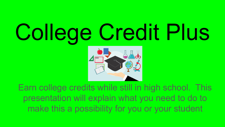# College Credit Plus



Earn college credits while still in high school. This presentation will explain what you need to do to make this a possibility for you or your student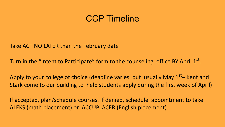## CCP Timeline

Take ACT NO LATER than the February date

Turn in the "Intent to Participate" form to the counseling office BY April  $1<sup>st</sup>$ .

Apply to your college of choice (deadline varies, but usually May  $1<sup>st</sup>$ – Kent and Stark come to our building to help students apply during the first week of April)

If accepted, plan/schedule courses. If denied, schedule appointment to take ALEKS (math placement) or ACCUPLACER (English placement)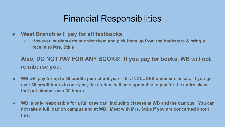# Financial Responsibilities

- **● West Branch will pay for all textbooks**
	- **○ However, students must order them and pick them up from the bookstore & bring a receipt to Mrs. Stitle**

### **Also, DO NOT PAY FOR ANY BOOKS! If you pay for books, WB will not reimburse you.**

- **● WB will pay for up to 30 credits per school year this INCLUDES summer classes. If you go over 30 credit hours in one year, the student will be responsible to pay for the entire class that put him/her over 30 hours.**
- **● WB is only responsible for a full caseload, including classes at WB and the campus. You can not take a full load on campus and at WB. Meet with Mrs. Stitle if you are concerned about this.**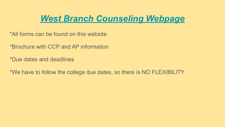# *[West Branch Counseling Webpage](https://www.westbranch.k12.oh.us/school_home.aspx?schoolid=1)*

- \*All forms can be found on this website
- \*Brochure with CCP and AP information
- \*Due dates and deadlines
- \*We have to follow the college due dates, so there is NO FLEXIBILITY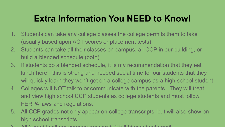# **Extra Information You NEED to Know!**

- 1. Students can take any college classes the college permits them to take (usually based upon ACT scores or placement tests)
- 2. Students can take all their classes on campus, all CCP in our building, or build a blended schedule (both)
- 3. If students do a blended schedule, it is my recommendation that they eat lunch here - this is strong and needed social time for our students that they will quickly learn they won't get on a college campus as a high school student
- 4. Colleges will NOT talk to or communicate with the parents. They will treat and view high school CCP students as college students and must follow FERPA laws and regulations.
- 5. All CCP grades not only appear on college transcripts, but will also show on high school transcripts
- 6. All 3 credit college courses are worth 1 full high school credit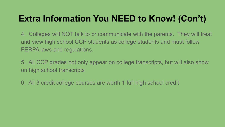# **Extra Information You NEED to Know! (Con't)**

4. Colleges will NOT talk to or communicate with the parents. They will treat and view high school CCP students as college students and must follow FERPA laws and regulations.

5. All CCP grades not only appear on college transcripts, but will also show on high school transcripts

6. All 3 credit college courses are worth 1 full high school credit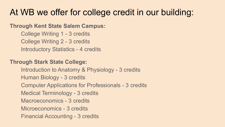# At WB we offer for college credit in our building:

#### **Through Kent State Salem Campus:**

College Writing 1 - 3 credits College Writing 2 - 3 credits Introductory Statistics - 4 credits

#### **Through Stark State College:**

Introduction to Anatomy & Physiology - 3 credits Human Biology - 3 credits Computer Applications for Professionals - 3 credits Medical Terminology - 3 credits Macroeconomics - 3 credits Microeconomics - 3 credits Financial Accounting - 3 credits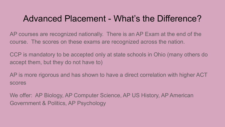## Advanced Placement - What's the Difference?

AP courses are recognized nationally. There is an AP Exam at the end of the course. The scores on these exams are recognized across the nation.

CCP is mandatory to be accepted only at state schools in Ohio (many others do accept them, but they do not have to)

AP is more rigorous and has shown to have a direct correlation with higher ACT scores

We offer: AP Biology, AP Computer Science, AP US History, AP American Government & Politics, AP Psychology